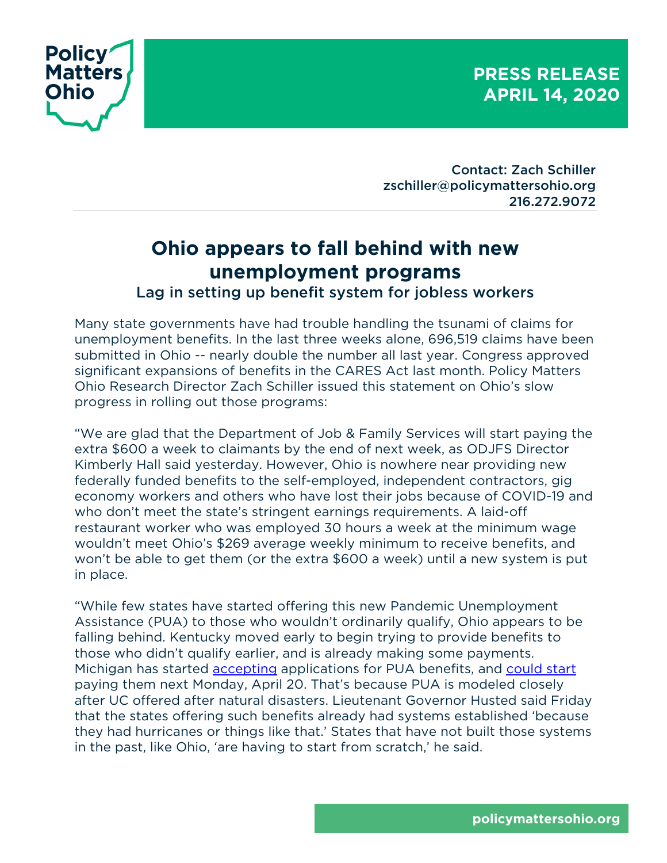**PRESS RELEASE APRIL 14, 2020**



Contact: Zach Schiller zschiller@policymattersohio.org 216.272.9072

## **Ohio appears to fall behind with new unemployment programs**

Lag in setting up benefit system for jobless workers

Many state governments have had trouble handling the tsunami of claims for unemployment benefits. In the last three weeks alone, 696,519 claims have been submitted in Ohio -- nearly double the number all last year. Congress approved significant expansions of benefits in the CARES Act last month. Policy Matters Ohio Research Director Zach Schiller issued this statement on Ohio's slow progress in rolling out those programs:

"We are glad that the Department of Job & Family Services will start paying the extra \$600 a week to claimants by the end of next week, as ODJFS Director Kimberly Hall said yesterday. However, Ohio is nowhere near providing new federally funded benefits to the self-employed, independent contractors, gig economy workers and others who have lost their jobs because of COVID-19 and who don't meet the state's stringent earnings requirements. A laid-off restaurant worker who was employed 30 hours a week at the minimum wage wouldn't meet Ohio's \$269 average weekly minimum to receive benefits, and won't be able to get them (or the extra \$600 a week) until a new system is put in place.

"While few states have started offering this new Pandemic Unemployment Assistance (PUA) to those who wouldn't ordinarily qualify, Ohio appears to be falling behind. Kentucky moved early to begin trying to provide benefits to those who didn't qualify earlier, and is already making some payments. Michigan has started accepting applications for PUA benefits, and could start paying them next Monday, April 20. That's because PUA is modeled closely after UC offered after natural disasters. Lieutenant Governor Husted said Friday that the states offering such benefits already had systems established 'because they had hurricanes or things like that.' States that have not built those systems in the past, like Ohio, 'are having to start from scratch,' he said.